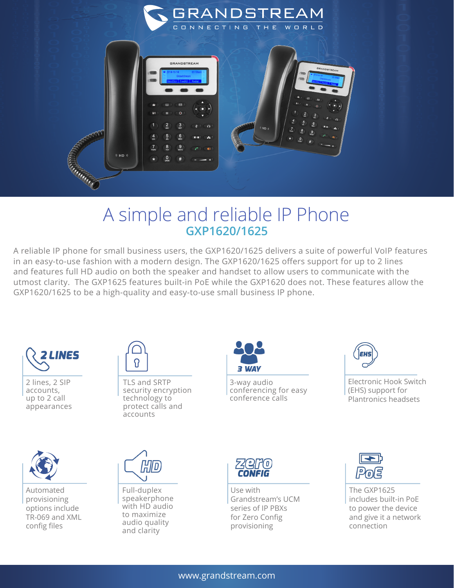

## A simple and reliable IP Phone **GXP1620/1625**

A reliable IP phone for small business users, the GXP1620/1625 delivers a suite of powerful VoIP features in an easy-to-use fashion with a modern design. The GXP1620/1625 offers support for up to 2 lines and features full HD audio on both the speaker and handset to allow users to communicate with the utmost clarity. The GXP1625 features built-in PoE while the GXP1620 does not. These features allow the GXP1620/1625 to be a high-quality and easy-to-use small business IP phone.



2 lines, 2 SIP accounts, up to 2 call appearances



TLS and SRTP security encryption technology to protect calls and accounts



3-way audio conferencing for easy conference calls



Electronic Hook Switch (EHS) support for Plantronics headsets



Automated provisioning options include TR-069 and XML config files



Full-duplex speakerphone with HD audio to maximize audio quality and clarity



Use with Grandstream's UCM series of IP PBXs for Zero Config provisioning